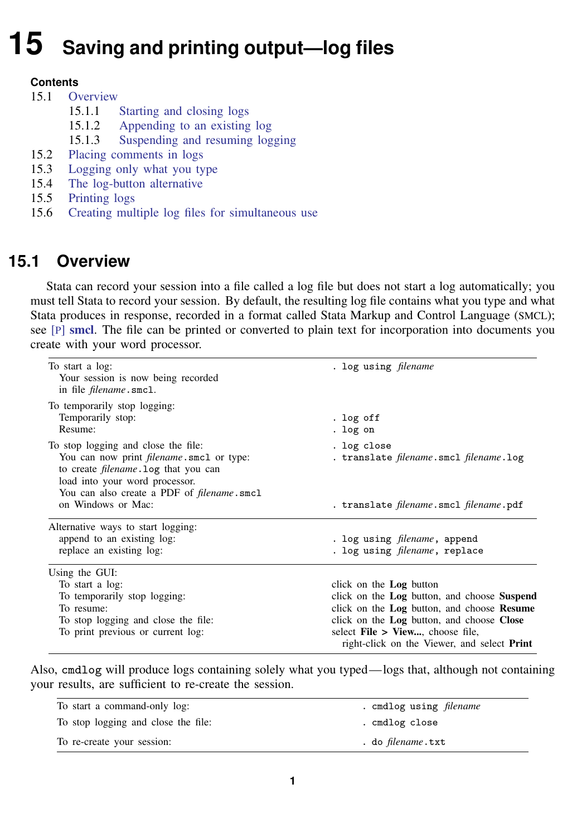# <span id="page-0-1"></span>**15 Saving and printing output—log files**

#### **Contents**

- 15.1 [Overview](#page-0-0)<br>15.1.1
	- 15.1.1 [Starting and closing logs](#page-1-0)<br>15.1.2 Appending to an existing
	- 15.1.2 [Appending to an existing log](#page-3-0)<br>15.1.3 Suspending and resuming log
	- [Suspending and resuming logging](#page-3-1)
- 15.2 [Placing comments in logs](#page-4-0)<br>15.3 Logging only what you ty
- 15.3 [Logging only what you type](#page-4-1)<br>15.4 The log-button alternative
- 15.4 [The log-button alternative](#page-5-0)<br>15.5 Printing logs
- 15.5 [Printing logs](#page-5-1)<br>15.6 Creating mul
- <span id="page-0-0"></span>[Creating multiple log files for simultaneous use](#page-5-2)

## **15.1 Overview**

Stata can record your session into a file called a log file but does not start a log automatically; you must tell Stata to record your session. By default, the resulting log file contains what you type and what Stata produces in response, recorded in a format called Stata Markup and Control Language (SMCL); see [P] [smcl](https://www.stata.com/manuals/psmcl.pdf#psmcl). The file can be printed or converted to plain text for incorporation into documents you create with your word processor.

| To start a log:<br>Your session is now being recorded<br>in file <i>filename</i> . smc1.                                                                                                                                                             | . log using <i>filename</i>                                                                                                                                                                                                                                        |
|------------------------------------------------------------------------------------------------------------------------------------------------------------------------------------------------------------------------------------------------------|--------------------------------------------------------------------------------------------------------------------------------------------------------------------------------------------------------------------------------------------------------------------|
| To temporarily stop logging:<br>Temporarily stop:<br>Resume:                                                                                                                                                                                         | . log off<br>. log on                                                                                                                                                                                                                                              |
| To stop logging and close the file:<br>You can now print <i>filename</i> smc1 or type:<br>to create <i>filename</i> . Log that you can<br>load into your word processor.<br>You can also create a PDF of <i>filename</i> .smc1<br>on Windows or Mac: | . log close<br>. translate filename.smcl filename.log<br>. translate filename.smcl filename.pdf                                                                                                                                                                    |
| Alternative ways to start logging:<br>append to an existing log:<br>replace an existing log:                                                                                                                                                         | . log using <i>filename</i> , append<br>. log using <i>filename</i> , replace                                                                                                                                                                                      |
| Using the GUI:<br>To start a log:<br>To temporarily stop logging:<br>To resume:<br>To stop logging and close the file:<br>To print previous or current log:                                                                                          | click on the <b>Log</b> button<br>click on the Log button, and choose Suspend<br>click on the Log button, and choose Resume<br>click on the Log button, and choose Close<br>select File > View, choose file,<br>right-click on the Viewer, and select <b>Print</b> |

Also, cmdlog will produce logs containing solely what you typed—logs that, although not containing your results, are sufficient to re-create the session.

| To start a command-only log:        | . cmdlog using <i>filename</i> |
|-------------------------------------|--------------------------------|
| To stop logging and close the file: | . cmdlog close                 |
| To re-create your session:          | . do <i>filename</i> .txt      |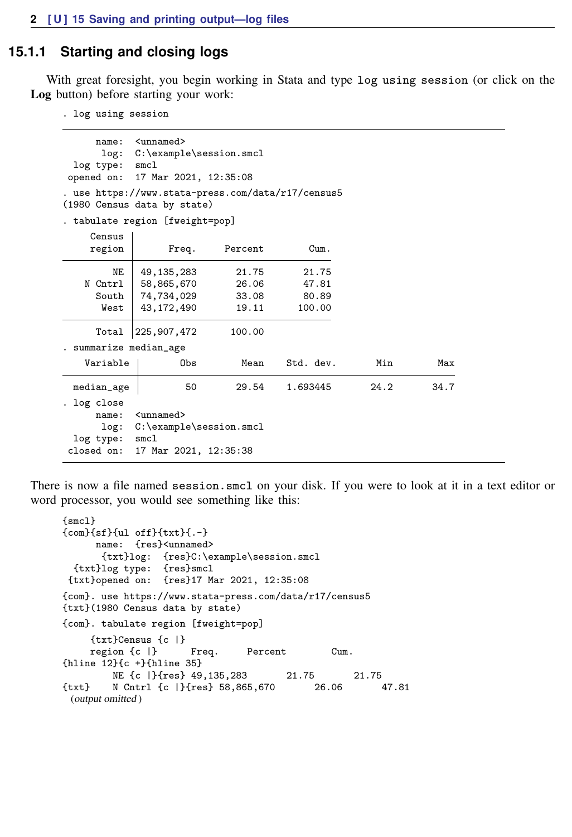## <span id="page-1-0"></span>**15.1.1 Starting and closing logs**

With great foresight, you begin working in Stata and type log using session (or click on the Log button) before starting your work:

. log using session

| name:<br>log type: smcl | <unnamed><br/>log: C:\example\session.smcl<br/>opened on: 17 Mar 2021, 12:35:08<br/>. use https://www.stata-press.com/data/r17/census5<br/>(1980 Census data by state)</unnamed> |         |           |      |      |
|-------------------------|----------------------------------------------------------------------------------------------------------------------------------------------------------------------------------|---------|-----------|------|------|
|                         | . tabulate region [fweight=pop]                                                                                                                                                  |         |           |      |      |
| Census<br>region        | Freq.                                                                                                                                                                            | Percent | Cum.      |      |      |
| NE                      | 49, 135, 283                                                                                                                                                                     | 21.75   | 21.75     |      |      |
| N Cntrl                 | 58,865,670                                                                                                                                                                       | 26.06   | 47.81     |      |      |
| South                   | 74,734,029                                                                                                                                                                       | 33.08   | 80.89     |      |      |
| West                    | 43, 172, 490                                                                                                                                                                     | 19.11   | 100.00    |      |      |
| Total                   | 225,907,472                                                                                                                                                                      | 100.00  |           |      |      |
| summarize median_age    |                                                                                                                                                                                  |         |           |      |      |
| Variable                | Obs                                                                                                                                                                              | Mean    | Std. dev. | Min  | Max  |
| median_age              | 50                                                                                                                                                                               | 29.54   | 1.693445  | 24.2 | 34.7 |
| . log close             |                                                                                                                                                                                  |         |           |      |      |
| name:                   | $\langle$ unnamed $\rangle$                                                                                                                                                      |         |           |      |      |
| log:                    | $C:\exple\frac{}{\text{session smcl}}$                                                                                                                                           |         |           |      |      |
| log type: smcl          |                                                                                                                                                                                  |         |           |      |      |
| closed on:              | 17 Mar 2021, 12:35:38                                                                                                                                                            |         |           |      |      |

There is now a file named session.smcl on your disk. If you were to look at it in a text editor or word processor, you would see something like this:

```
{smcl}
{com}{sf}{ul off}{txt}{.-}
      name: {res}<unnamed>
       {txt}log: {res}C:\example\session.smcl
  {txt}log type: {res}smcl
 {txt}opened on: {res}17 Mar 2021, 12:35:08
{com}. use https://www.stata-press.com/data/r17/census5
{txt}(1980 Census data by state)
{com}. tabulate region [fweight=pop]
     {txt}Census {c |}
     region {c |} Freq. Percent Cum.
{hline 12}{c +}{hline 35}
         NE {c |}{res} 49,135,283 21.75 21.75<br>N Cntrl {c |}{res} 58,865,670 26.06 47.81
\{txt\} N Cntrl \{c | \}{res} 58,865,670
 (output omitted )
```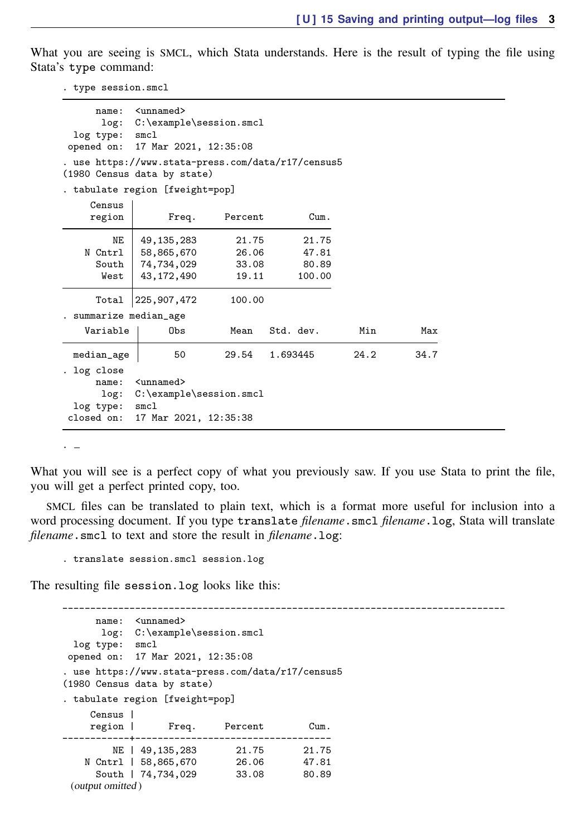What you are seeing is SMCL, which Stata understands. Here is the result of typing the file using Stata's type command:

. type session.smcl

| name:<br>log type: smcl                                                                                                                      | <unnamed><br/>log: C:\example\session.smcl<br/>opened on: 17 Mar 2021, 12:35:08</unnamed> |         |           |      |      |
|----------------------------------------------------------------------------------------------------------------------------------------------|-------------------------------------------------------------------------------------------|---------|-----------|------|------|
| . use https://www.stata-press.com/data/r17/census5<br>(1980 Census data by state)                                                            |                                                                                           |         |           |      |      |
|                                                                                                                                              | . tabulate region [fweight=pop]                                                           |         |           |      |      |
| Census<br>region                                                                                                                             | Freq.                                                                                     | Percent | Cum.      |      |      |
| NE                                                                                                                                           | 49, 135, 283                                                                              | 21.75   | 21.75     |      |      |
| N Cntrl                                                                                                                                      | 58,865,670                                                                                | 26.06   | 47.81     |      |      |
| South                                                                                                                                        | 74,734,029                                                                                | 33.08   | 80.89     |      |      |
| West                                                                                                                                         | 43, 172, 490                                                                              | 19.11   | 100.00    |      |      |
| Total                                                                                                                                        | 225,907,472                                                                               | 100.00  |           |      |      |
| . summarize median_age                                                                                                                       |                                                                                           |         |           |      |      |
| Variable                                                                                                                                     | Obs                                                                                       | Mean    | Std. dev. | Min  | Max  |
| median_age                                                                                                                                   | 50                                                                                        | 29.54   | 1.693445  | 24.2 | 34.7 |
| . log close<br>$\langle$ unnamed $\rangle$<br>name:<br>log: C:\example\session.smcl<br>log type: smcl<br>closed on:<br>17 Mar 2021, 12:35:38 |                                                                                           |         |           |      |      |

.

What you will see is a perfect copy of what you previously saw. If you use Stata to print the file, you will get a perfect printed copy, too.

SMCL files can be translated to plain text, which is a format more useful for inclusion into a word processing document. If you type translate *filename*.smcl *filename*.log, Stata will translate *filename*.smcl to text and store the result in *filename*.log:

. translate session.smcl session.log

The resulting file session.log looks like this:

-------------------------------------------------------------------------------

| name:                                                                             | <unnamed></unnamed>              |       |       |  |
|-----------------------------------------------------------------------------------|----------------------------------|-------|-------|--|
|                                                                                   | log: C:\example\session.smcl     |       |       |  |
| log type: smcl                                                                    |                                  |       |       |  |
|                                                                                   | opened on: 17 Mar 2021, 12:35:08 |       |       |  |
| . use https://www.stata-press.com/data/r17/census5<br>(1980 Census data by state) |                                  |       |       |  |
|                                                                                   | . tabulate region [fweight=pop]  |       |       |  |
| Census                                                                            |                                  |       |       |  |
|                                                                                   | region   Freq. Percent           |       | Cum.  |  |
|                                                                                   | NE   49.135.283                  | 21.75 | 21.75 |  |
|                                                                                   |                                  |       |       |  |
|                                                                                   | N Cntrl   58,865,670             | 26.06 | 47.81 |  |
|                                                                                   | South   74,734,029               | 33.08 | 80.89 |  |
| (output omitted)                                                                  |                                  |       |       |  |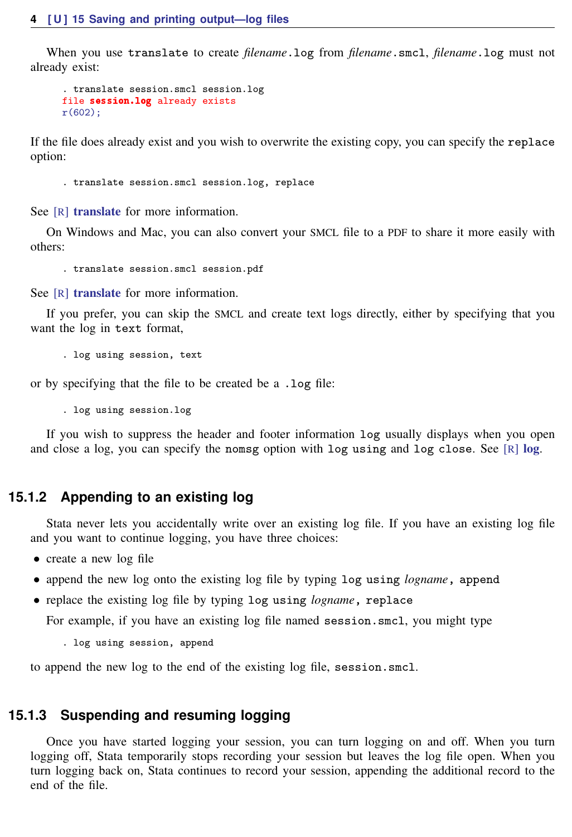When you use translate to create *filename*.log from *filename*.smcl, *filename*.log must not already exist:

```
. translate session.smcl session.log
file session.log already exists
r(602);
```
If the file does already exist and you wish to overwrite the existing copy, you can specify the replace option:

. translate session.smcl session.log, replace

See [R] [translate](https://www.stata.com/manuals/rtranslate.pdf#rtranslate) for more information.

On Windows and Mac, you can also convert your SMCL file to a PDF to share it more easily with others:

. translate session.smcl session.pdf

See [R] [translate](https://www.stata.com/manuals/rtranslate.pdf#rtranslate) for more information.

If you prefer, you can skip the SMCL and create text logs directly, either by specifying that you want the log in text format,

. log using session, text

or by specifying that the file to be created be a .log file:

. log using session.log

<span id="page-3-0"></span>If you wish to suppress the header and footer information log usually displays when you open and close a [log](https://www.stata.com/manuals/rlog.pdf#rlog), you can specify the nomsg option with log using and log close. See  $[**R**]$  log.

#### **15.1.2 Appending to an existing log**

Stata never lets you accidentally write over an existing log file. If you have an existing log file and you want to continue logging, you have three choices:

- create a new log file
- append the new log onto the existing log file by typing log using *logname*, append
- replace the existing log file by typing log using *logname*, replace

For example, if you have an existing log file named session.smcl, you might type

. log using session, append

<span id="page-3-1"></span>to append the new log to the end of the existing log file, session.smcl.

#### **15.1.3 Suspending and resuming logging**

Once you have started logging your session, you can turn logging on and off. When you turn logging off, Stata temporarily stops recording your session but leaves the log file open. When you turn logging back on, Stata continues to record your session, appending the additional record to the end of the file.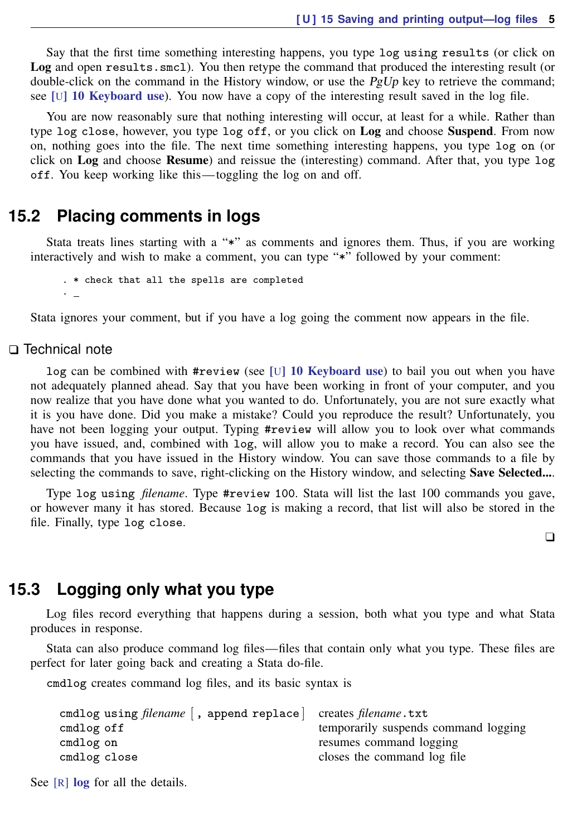Say that the first time something interesting happens, you type log using results (or click on Log and open results.smcl). You then retype the command that produced the interesting result (or double-click on the command in the History window, or use the  $PgUp$  key to retrieve the command: see  $[U]$  10 Keyboard use). You now have a copy of the interesting result saved in the log file.

You are now reasonably sure that nothing interesting will occur, at least for a while. Rather than type log close, however, you type log off, or you click on Log and choose Suspend. From now on, nothing goes into the file. The next time something interesting happens, you type log on (or click on Log and choose Resume) and reissue the (interesting) command. After that, you type log off. You keep working like this—toggling the log on and off.

## <span id="page-4-0"></span>**15.2 Placing comments in logs**

Stata treats lines starting with a "\*" as comments and ignores them. Thus, if you are working interactively and wish to make a comment, you can type "\*" followed by your comment:

```
. * check that all the spells are completed
.
```
Stata ignores your comment, but if you have a log going the comment now appears in the file.

#### □ Technical note

log can be combined with #review (see [U[\] 10 Keyboard use](https://www.stata.com/manuals/u10.pdf#u10Keyboarduse)) to bail you out when you have not adequately planned ahead. Say that you have been working in front of your computer, and you now realize that you have done what you wanted to do. Unfortunately, you are not sure exactly what it is you have done. Did you make a mistake? Could you reproduce the result? Unfortunately, you have not been logging your output. Typing #review will allow you to look over what commands you have issued, and, combined with log, will allow you to make a record. You can also see the commands that you have issued in the History window. You can save those commands to a file by selecting the commands to save, right-clicking on the History window, and selecting **Save Selected...**.

Type log using *filename*. Type #review 100. Stata will list the last 100 commands you gave, or however many it has stored. Because log is making a record, that list will also be stored in the file. Finally, type log close.

 $\Box$ 

## <span id="page-4-1"></span>**15.3 Logging only what you type**

Log files record everything that happens during a session, both what you type and what Stata produces in response.

Stata can also produce command log files—files that contain only what you type. These files are perfect for later going back and creating a Stata do-file.

cmdlog creates command log files, and its basic syntax is

| cmdlog using filename  , append replace   creates filename.txt |                                      |
|----------------------------------------------------------------|--------------------------------------|
| cmdlog off                                                     | temporarily suspends command logging |
| cmdlog on                                                      | resumes command logging              |
| cmdlog close                                                   | closes the command log file          |

See  $[R]$  [log](https://www.stata.com/manuals/rlog.pdf#rlog) for all the details.